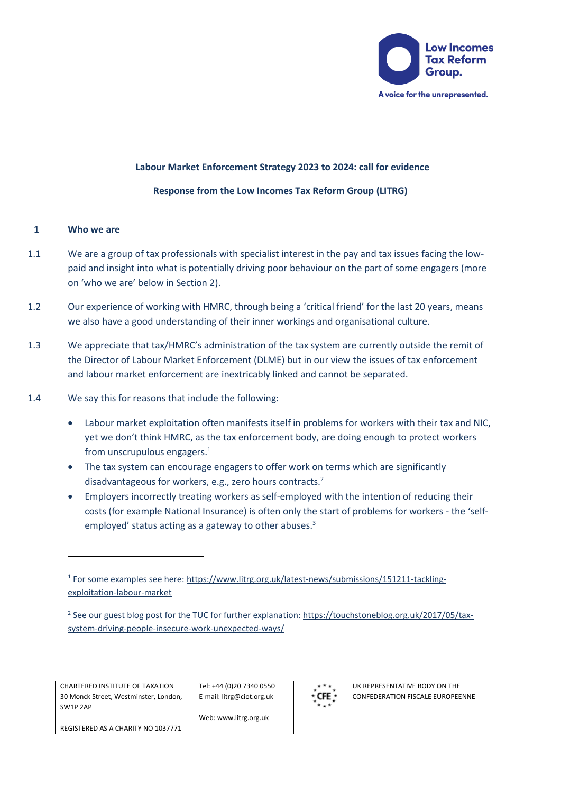

# **Labour Market Enforcement Strategy 2023 to 2024: call for evidence**

## **Response from the Low Incomes Tax Reform Group (LITRG)**

### **1 Who we are**

- 1.1 We are a group of tax professionals with specialist interest in the pay and tax issues facing the lowpaid and insight into what is potentially driving poor behaviour on the part of some engagers (more on 'who we are' below in Section 2).
- 1.2 Our experience of working with HMRC, through being a 'critical friend' for the last 20 years, means we also have a good understanding of their inner workings and organisational culture.
- 1.3 We appreciate that tax/HMRC's administration of the tax system are currently outside the remit of the Director of Labour Market Enforcement (DLME) but in our view the issues of tax enforcement and labour market enforcement are inextricably linked and cannot be separated.
- 1.4 We say this for reasons that include the following:
	- Labour market exploitation often manifests itself in problems for workers with their tax and NIC, yet we don't think HMRC, as the tax enforcement body, are doing enough to protect workers from unscrupulous engagers. 1
	- The tax system can encourage engagers to offer work on terms which are significantly disadvantageous for workers, e.g., zero hours contracts.<sup>2</sup>
	- Employers incorrectly treating workers as self-employed with the intention of reducing their costs (for example National Insurance) is often only the start of problems for workers - the 'selfemployed' status acting as a gateway to other abuses. 3

<sup>2</sup> See our guest blog post for the TUC for further explanation[: https://touchstoneblog.org.uk/2017/05/tax](https://touchstoneblog.org.uk/2017/05/tax-system-driving-people-insecure-work-unexpected-ways/)[system-driving-people-insecure-work-unexpected-ways/](https://touchstoneblog.org.uk/2017/05/tax-system-driving-people-insecure-work-unexpected-ways/)

CHARTERED INSTITUTE OF TAXATION 30 Monck Street, Westminster, London, SW1P 2AP

Tel: +44 (0)20 7340 0550 E-mail: litrg@ciot.org.uk

Web: www.litrg.org.uk



UK REPRESENTATIVE BODY ON THE CONFEDERATION FISCALE EUROPEENNE

REGISTERED AS A CHARITY NO 1037771

<sup>&</sup>lt;sup>1</sup> For some examples see here: [https://www.litrg.org.uk/latest-news/submissions/151211-tackling](https://www.litrg.org.uk/latest-news/submissions/151211-tackling-exploitation-labour-market)[exploitation-labour-market](https://www.litrg.org.uk/latest-news/submissions/151211-tackling-exploitation-labour-market)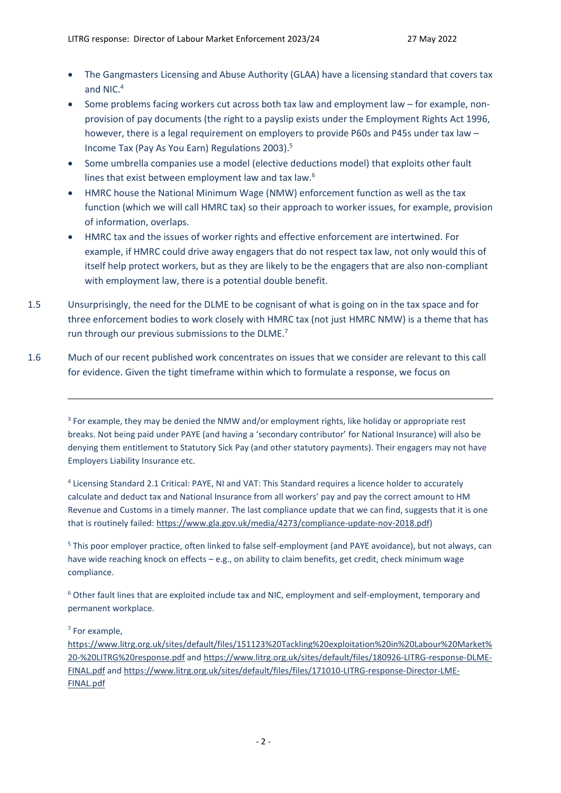- The Gangmasters Licensing and Abuse Authority (GLAA) have a licensing standard that covers tax and NIC.<sup>4</sup>
- Some problems facing workers cut across both tax law and employment law for example, nonprovision of pay documents (the right to a payslip exists under the Employment Rights Act 1996, however, there is a legal requirement on employers to provide P60s and P45s under tax law – Income Tax (Pay As You Earn) Regulations 2003).<sup>5</sup>
- Some umbrella companies use a model (elective deductions model) that exploits other fault lines that exist between employment law and tax law.<sup>6</sup>
- HMRC house the National Minimum Wage (NMW) enforcement function as well as the tax function (which we will call HMRC tax) so their approach to worker issues, for example, provision of information, overlaps.
- HMRC tax and the issues of worker rights and effective enforcement are intertwined. For example, if HMRC could drive away engagers that do not respect tax law, not only would this of itself help protect workers, but as they are likely to be the engagers that are also non-compliant with employment law, there is a potential double benefit.
- 1.5 Unsurprisingly, the need for the DLME to be cognisant of what is going on in the tax space and for three enforcement bodies to work closely with HMRC tax (not just HMRC NMW) is a theme that has run through our previous submissions to the DLME.<sup>7</sup>
- 1.6 Much of our recent published work concentrates on issues that we consider are relevant to this call for evidence. Given the tight timeframe within which to formulate a response, we focus on

<sup>3</sup> For example, they may be denied the NMW and/or employment rights, like holiday or appropriate rest breaks. Not being paid under PAYE (and having a 'secondary contributor' for National Insurance) will also be denying them entitlement to Statutory Sick Pay (and other statutory payments). Their engagers may not have Employers Liability Insurance etc.

<sup>4</sup> Licensing Standard 2.1 Critical: PAYE, NI and VAT: This Standard requires a licence holder to accurately calculate and deduct tax and National Insurance from all workers' pay and pay the correct amount to HM Revenue and Customs in a timely manner. The last compliance update that we can find, suggests that it is one that is routinely failed: [https://www.gla.gov.uk/media/4273/compliance-update-nov-2018.pdf\)](https://www.gla.gov.uk/media/4273/compliance-update-nov-2018.pdf)

<sup>5</sup> This poor employer practice, often linked to false self-employment (and PAYE avoidance), but not always, can have wide reaching knock on effects – e.g., on ability to claim benefits, get credit, check minimum wage compliance.

<sup>6</sup> Other fault lines that are exploited include tax and NIC, employment and self-employment, temporary and permanent workplace.

7 For example,

[https://www.litrg.org.uk/sites/default/files/151123%20Tackling%20exploitation%20in%20Labour%20Market%](https://www.litrg.org.uk/sites/default/files/151123%20Tackling%20exploitation%20in%20Labour%20Market%20-%20LITRG%20response.pdf) [20-%20LITRG%20response.pdf](https://www.litrg.org.uk/sites/default/files/151123%20Tackling%20exploitation%20in%20Labour%20Market%20-%20LITRG%20response.pdf) and [https://www.litrg.org.uk/sites/default/files/180926-LITRG-response-DLME-](https://www.litrg.org.uk/sites/default/files/180926-LITRG-response-DLME-FINAL.pdf)[FINAL.pdf](https://www.litrg.org.uk/sites/default/files/180926-LITRG-response-DLME-FINAL.pdf) an[d https://www.litrg.org.uk/sites/default/files/files/171010-LITRG-response-Director-LME-](https://www.litrg.org.uk/sites/default/files/files/171010-LITRG-response-Director-LME-FINAL.pdf)[FINAL.pdf](https://www.litrg.org.uk/sites/default/files/files/171010-LITRG-response-Director-LME-FINAL.pdf)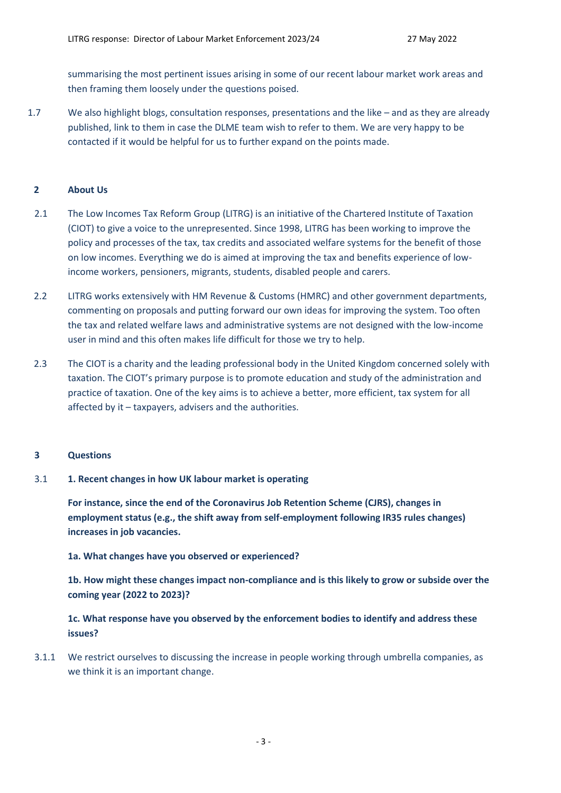summarising the most pertinent issues arising in some of our recent labour market work areas and then framing them loosely under the questions poised.

1.7 We also highlight blogs, consultation responses, presentations and the like – and as they are already published, link to them in case the DLME team wish to refer to them. We are very happy to be contacted if it would be helpful for us to further expand on the points made.

## **2 About Us**

- 2.1 The Low Incomes Tax Reform Group (LITRG) is an initiative of the Chartered Institute of Taxation (CIOT) to give a voice to the unrepresented. Since 1998, LITRG has been working to improve the policy and processes of the tax, tax credits and associated welfare systems for the benefit of those on low incomes. Everything we do is aimed at improving the tax and benefits experience of lowincome workers, pensioners, migrants, students, disabled people and carers.
- 2.2 LITRG works extensively with HM Revenue & Customs (HMRC) and other government departments, commenting on proposals and putting forward our own ideas for improving the system. Too often the tax and related welfare laws and administrative systems are not designed with the low-income user in mind and this often makes life difficult for those we try to help.
- 2.3 The CIOT is a charity and the leading professional body in the United Kingdom concerned solely with taxation. The CIOT's primary purpose is to promote education and study of the administration and practice of taxation. One of the key aims is to achieve a better, more efficient, tax system for all affected by it – taxpayers, advisers and the authorities.

#### **3 Questions**

3.1 **1. Recent changes in how UK labour market is operating**

**For instance, since the end of the Coronavirus Job Retention Scheme (CJRS), changes in employment status (e.g., the shift away from self-employment following IR35 rules changes) increases in job vacancies.**

**1a. What changes have you observed or experienced?**

**1b. How might these changes impact non-compliance and is this likely to grow or subside over the coming year (2022 to 2023)?**

**1c. What response have you observed by the enforcement bodies to identify and address these issues?**

3.1.1 We restrict ourselves to discussing the increase in people working through umbrella companies, as we think it is an important change.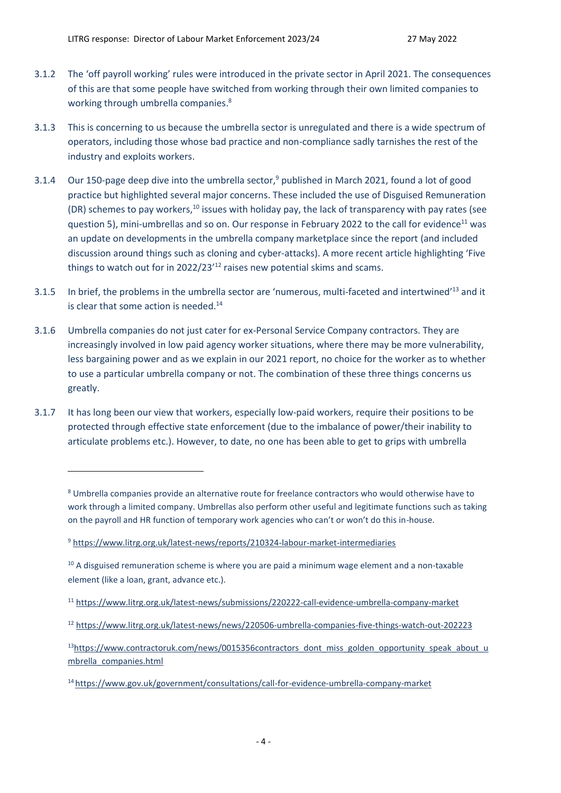- 3.1.2 The 'off payroll working' rules were introduced in the private sector in April 2021. The consequences of this are that some people have switched from working through their own limited companies to working through umbrella companies. 8
- 3.1.3 This is concerning to us because the umbrella sector is unregulated and there is a wide spectrum of operators, including those whose bad practice and non-compliance sadly tarnishes the rest of the industry and exploits workers.
- 3.1.4 Our 150-page deep dive into the umbrella sector,<sup>9</sup> published in March 2021, found a lot of good practice but highlighted several major concerns. These included the use of Disguised Remuneration (DR) schemes to pay workers,<sup>10</sup> issues with holiday pay, the lack of transparency with pay rates (see question 5), mini-umbrellas and so on. Our response in February 2022 to the call for evidence<sup>11</sup> was an update on developments in the umbrella company marketplace since the report (and included discussion around things such as cloning and cyber-attacks). A more recent article highlighting 'Five things to watch out for in 2022/23<sup>'12</sup> raises new potential skims and scams.
- 3.1.5 In brief, the problems in the umbrella sector are 'numerous, multi-faceted and intertwined'<sup>13</sup> and it is clear that some action is needed. $14$
- 3.1.6 Umbrella companies do not just cater for ex-Personal Service Company contractors. They are increasingly involved in low paid agency worker situations, where there may be more vulnerability, less bargaining power and as we explain in our 2021 report, no choice for the worker as to whether to use a particular umbrella company or not. The combination of these three things concerns us greatly.
- 3.1.7 It has long been our view that workers, especially low-paid workers, require their positions to be protected through effective state enforcement (due to the imbalance of power/their inability to articulate problems etc.). However, to date, no one has been able to get to grips with umbrella

<sup>8</sup> Umbrella companies provide an alternative route for freelance contractors who would otherwise have to work through a limited company. Umbrellas also perform other useful and legitimate functions such as taking on the payroll and HR function of temporary work agencies who can't or won't do this in-house.

<sup>9</sup> <https://www.litrg.org.uk/latest-news/reports/210324-labour-market-intermediaries>

<sup>&</sup>lt;sup>10</sup> A disguised remuneration scheme is where you are paid a minimum wage element and a non-taxable element (like a loan, grant, advance etc.).

<sup>11</sup> <https://www.litrg.org.uk/latest-news/submissions/220222-call-evidence-umbrella-company-market>

<sup>12</sup> <https://www.litrg.org.uk/latest-news/news/220506-umbrella-companies-five-things-watch-out-202223>

 $13$ [https://www.contractoruk.com/news/0015356contractors\\_dont\\_miss\\_golden\\_opportunity\\_speak\\_about\\_u](https://www.contractoruk.com/news/0015356contractors_dont_miss_golden_opportunity_speak_about_umbrella_companies.html) [mbrella\\_companies.html](https://www.contractoruk.com/news/0015356contractors_dont_miss_golden_opportunity_speak_about_umbrella_companies.html)

<sup>14</sup> <https://www.gov.uk/government/consultations/call-for-evidence-umbrella-company-market>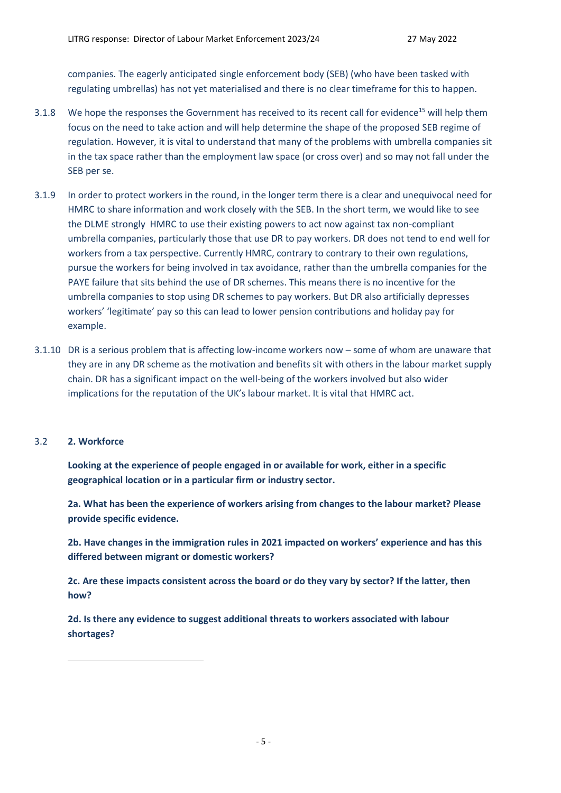companies. The eagerly anticipated single enforcement body (SEB) (who have been tasked with regulating umbrellas) has not yet materialised and there is no clear timeframe for this to happen.

- 3.1.8 We hope the responses the Government has received to its recent call for evidence<sup>15</sup> will help them focus on the need to take action and will help determine the shape of the proposed SEB regime of regulation. However, it is vital to understand that many of the problems with umbrella companies sit in the tax space rather than the employment law space (or cross over) and so may not fall under the SEB per se.
- 3.1.9 In order to protect workers in the round, in the longer term there is a clear and unequivocal need for HMRC to share information and work closely with the SEB. In the short term, we would like to see the DLME strongly HMRC to use their existing powers to act now against tax non-compliant umbrella companies, particularly those that use DR to pay workers. DR does not tend to end well for workers from a tax perspective. Currently HMRC, contrary to contrary to their own regulations, pursue the workers for being involved in tax avoidance, rather than the umbrella companies for the PAYE failure that sits behind the use of DR schemes. This means there is no incentive for the umbrella companies to stop using DR schemes to pay workers. But DR also artificially depresses workers' 'legitimate' pay so this can lead to lower pension contributions and holiday pay for example.
- 3.1.10 DR is a serious problem that is affecting low-income workers now some of whom are unaware that they are in any DR scheme as the motivation and benefits sit with others in the labour market supply chain. DR has a significant impact on the well-being of the workers involved but also wider implications for the reputation of the UK's labour market. It is vital that HMRC act.

#### 3.2 **2. Workforce**

**Looking at the experience of people engaged in or available for work, either in a specific geographical location or in a particular firm or industry sector.**

**2a. What has been the experience of workers arising from changes to the labour market? Please provide specific evidence.**

**2b. Have changes in the immigration rules in 2021 impacted on workers' experience and has this differed between migrant or domestic workers?**

**2c. Are these impacts consistent across the board or do they vary by sector? If the latter, then how?**

**2d. Is there any evidence to suggest additional threats to workers associated with labour shortages?**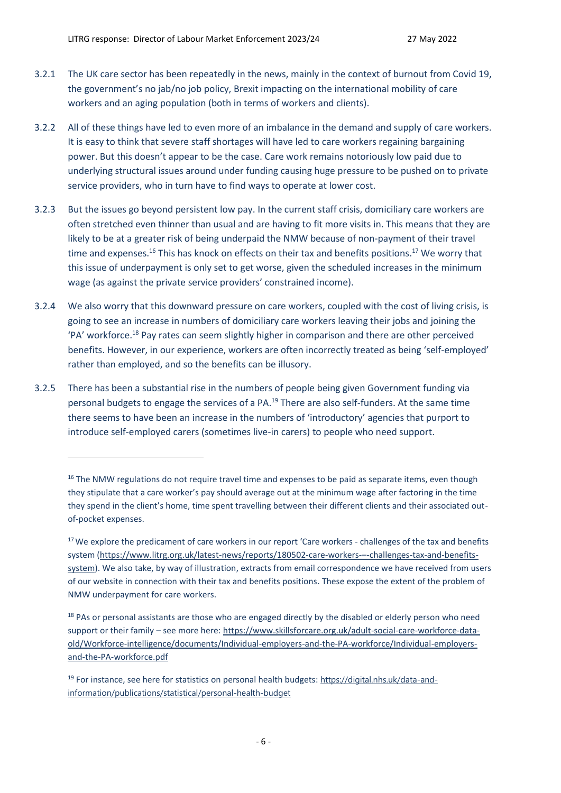- 3.2.1 The UK care sector has been repeatedly in the news, mainly in the context of burnout from Covid 19, the government's no jab/no job policy, Brexit impacting on the international mobility of care workers and an aging population (both in terms of workers and clients).
- 3.2.2 All of these things have led to even more of an imbalance in the demand and supply of care workers. It is easy to think that severe staff shortages will have led to care workers regaining bargaining power. But this doesn't appear to be the case. Care work remains notoriously low paid due to underlying structural issues around under funding causing huge pressure to be pushed on to private service providers, who in turn have to find ways to operate at lower cost.
- 3.2.3 But the issues go beyond persistent low pay. In the current staff crisis, domiciliary care workers are often stretched even thinner than usual and are having to fit more visits in. This means that they are likely to be at a greater risk of being underpaid the NMW because of non-payment of their travel time and expenses.<sup>16</sup> This has knock on effects on their tax and benefits positions.<sup>17</sup> We worry that this issue of underpayment is only set to get worse, given the scheduled increases in the minimum wage (as against the private service providers' constrained income).
- 3.2.4 We also worry that this downward pressure on care workers, coupled with the cost of living crisis, is going to see an increase in numbers of domiciliary care workers leaving their jobs and joining the 'PA' workforce. <sup>18</sup> Pay rates can seem slightly higher in comparison and there are other perceived benefits. However, in our experience, workers are often incorrectly treated as being 'self-employed' rather than employed, and so the benefits can be illusory.
- 3.2.5 There has been a substantial rise in the numbers of people being given Government funding via personal budgets to engage the services of a PA.<sup>19</sup> There are also self-funders. At the same time there seems to have been an increase in the numbers of 'introductory' agencies that purport to introduce self-employed carers (sometimes live-in carers) to people who need support.

<sup>&</sup>lt;sup>16</sup> The NMW regulations do not require travel time and expenses to be paid as separate items, even though they stipulate that a care worker's pay should average out at the minimum wage after factoring in the time they spend in the client's home, time spent travelling between their different clients and their associated outof-pocket expenses.

<sup>&</sup>lt;sup>17</sup> We explore the predicament of care workers in our report 'Care workers - challenges of the tax and benefits system [\(https://www.litrg.org.uk/latest-news/reports/180502-care-workers-](https://www.litrg.org.uk/latest-news/reports/180502-care-workers-–-challenges-tax-and-benefits-system)–-challenges-tax-and-benefits[system\)](https://www.litrg.org.uk/latest-news/reports/180502-care-workers-–-challenges-tax-and-benefits-system). We also take, by way of illustration, extracts from email correspondence we have received from users of our website in connection with their tax and benefits positions. These expose the extent of the problem of NMW underpayment for care workers.

<sup>&</sup>lt;sup>18</sup> PAs or personal assistants are those who are engaged directly by the disabled or elderly person who need support or their family – see more here: [https://www.skillsforcare.org.uk/adult-social-care-workforce-data](https://www.skillsforcare.org.uk/adult-social-care-workforce-data-old/Workforce-intelligence/documents/Individual-employers-and-the-PA-workforce/Individual-employers-and-the-PA-workforce.pdf)[old/Workforce-intelligence/documents/Individual-employers-and-the-PA-workforce/Individual-employers](https://www.skillsforcare.org.uk/adult-social-care-workforce-data-old/Workforce-intelligence/documents/Individual-employers-and-the-PA-workforce/Individual-employers-and-the-PA-workforce.pdf)[and-the-PA-workforce.pdf](https://www.skillsforcare.org.uk/adult-social-care-workforce-data-old/Workforce-intelligence/documents/Individual-employers-and-the-PA-workforce/Individual-employers-and-the-PA-workforce.pdf)

<sup>19</sup> For instance, see here for statistics on personal health budgets: [https://digital.nhs.uk/data-and](https://digital.nhs.uk/data-and-information/publications/statistical/personal-health-budget)[information/publications/statistical/personal-health-budget](https://digital.nhs.uk/data-and-information/publications/statistical/personal-health-budget)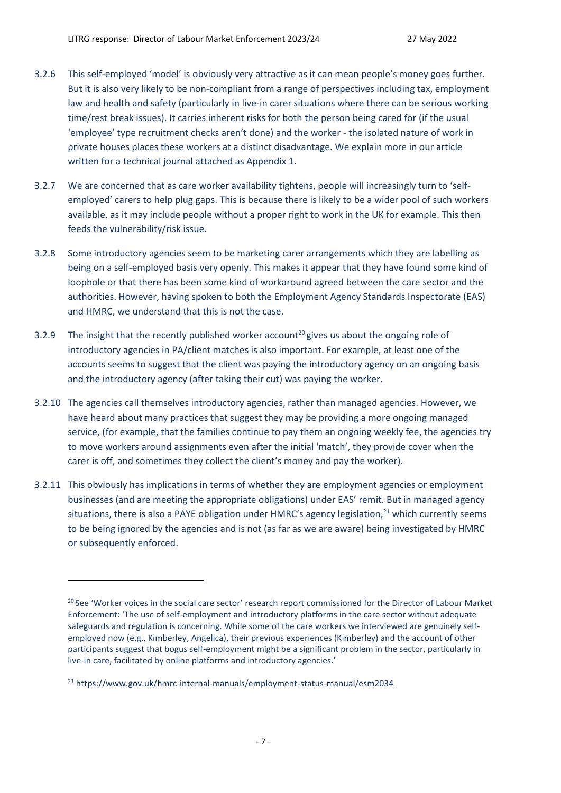- 3.2.6 This self-employed 'model' is obviously very attractive as it can mean people's money goes further. But it is also very likely to be non-compliant from a range of perspectives including tax, employment law and health and safety (particularly in live-in carer situations where there can be serious working time/rest break issues). It carries inherent risks for both the person being cared for (if the usual 'employee' type recruitment checks aren't done) and the worker - the isolated nature of work in private houses places these workers at a distinct disadvantage. We explain more in our article written for a technical journal attached as Appendix 1.
- 3.2.7 We are concerned that as care worker availability tightens, people will increasingly turn to 'selfemployed' carers to help plug gaps. This is because there is likely to be a wider pool of such workers available, as it may include people without a proper right to work in the UK for example. This then feeds the vulnerability/risk issue.
- 3.2.8 Some introductory agencies seem to be marketing carer arrangements which they are labelling as being on a self-employed basis very openly. This makes it appear that they have found some kind of loophole or that there has been some kind of workaround agreed between the care sector and the authorities. However, having spoken to both the Employment Agency Standards Inspectorate (EAS) and HMRC, we understand that this is not the case.
- 3.2.9 The insight that the recently published worker account<sup>20</sup> gives us about the ongoing role of introductory agencies in PA/client matches is also important. For example, at least one of the accounts seems to suggest that the client was paying the introductory agency on an ongoing basis and the introductory agency (after taking their cut) was paying the worker.
- 3.2.10 The agencies call themselves introductory agencies, rather than managed agencies. However, we have heard about many practices that suggest they may be providing a more ongoing managed service, (for example, that the families continue to pay them an ongoing weekly fee, the agencies try to move workers around assignments even after the initial 'match', they provide cover when the carer is off, and sometimes they collect the client's money and pay the worker).
- 3.2.11 This obviously has implications in terms of whether they are employment agencies or employment businesses (and are meeting the appropriate obligations) under EAS' remit. But in managed agency situations, there is also a PAYE obligation under HMRC's agency legislation,<sup>21</sup> which currently seems to be being ignored by the agencies and is not (as far as we are aware) being investigated by HMRC or subsequently enforced.

<sup>&</sup>lt;sup>20</sup> See ['Worker voices in the social care sector'](https://eur02.safelinks.protection.outlook.com/?url=https%3A%2F%2Fwww.gov.uk%2Fgovernment%2Fpublications%2Flabour-market-enforcement-strategy-2020-to-2021&data=04%7C01%7CDave.Worboys%40beis.gov.uk%7C7038669ba22d48f15af308d9e271e5d2%7Ccbac700502c143ebb497e6492d1b2dd8%7C0%7C0%7C637789801089608450%7CUnknown%7CTWFpbGZsb3d8eyJWIjoiMC4wLjAwMDAiLCJQIjoiV2luMzIiLCJBTiI6Ik1haWwiLCJXVCI6Mn0%3D%7C3000&sdata=N06h36Z6AHeY3onVNfIP4IV4794HHgLUKuE5%2B6eeoXY%3D&reserved=0) research report commissioned for the Director of Labour Market Enforcement: 'The use of self-employment and introductory platforms in the care sector without adequate safeguards and regulation is concerning. While some of the care workers we interviewed are genuinely selfemployed now (e.g., Kimberley, Angelica), their previous experiences (Kimberley) and the account of other participants suggest that bogus self-employment might be a significant problem in the sector, particularly in live-in care, facilitated by online platforms and introductory agencies.'

<sup>21</sup> [https://www.gov.uk/hmrc-internal-manuals/employment-status-manual/esm2034](https://eur02.safelinks.protection.outlook.com/?url=https%3A%2F%2Fwww.gov.uk%2Fhmrc-internal-manuals%2Femployment-status-manual%2Fesm2034&data=04%7C01%7CDave.Worboys%40beis.gov.uk%7C7038669ba22d48f15af308d9e271e5d2%7Ccbac700502c143ebb497e6492d1b2dd8%7C0%7C0%7C637789801089764680%7CUnknown%7CTWFpbGZsb3d8eyJWIjoiMC4wLjAwMDAiLCJQIjoiV2luMzIiLCJBTiI6Ik1haWwiLCJXVCI6Mn0%3D%7C3000&sdata=Kvi2rwfhxu%2BWbojAKaK9O7EQFIXVXpt8QfTU%2BYRMy30%3D&reserved=0)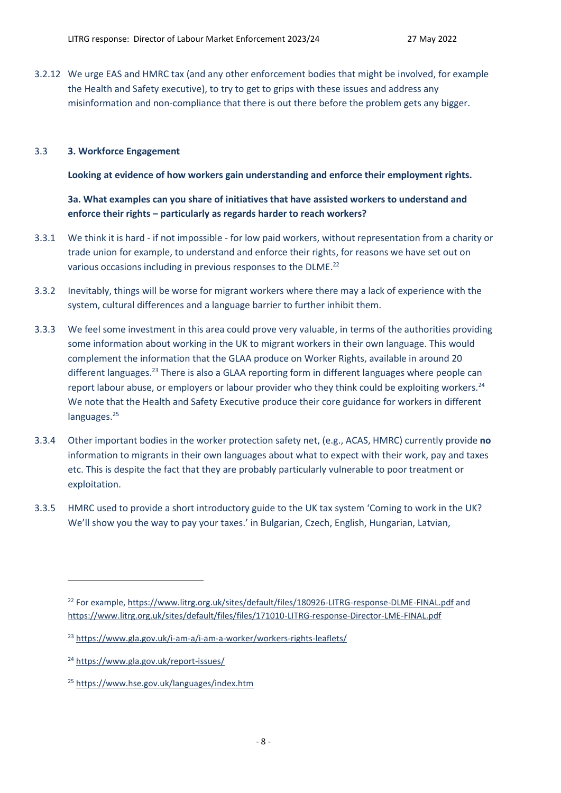3.2.12 We urge EAS and HMRC tax (and any other enforcement bodies that might be involved, for example the Health and Safety executive), to try to get to grips with these issues and address any misinformation and non-compliance that there is out there before the problem gets any bigger.

## 3.3 **3. Workforce Engagement**

**Looking at evidence of how workers gain understanding and enforce their employment rights.**

**3a. What examples can you share of initiatives that have assisted workers to understand and enforce their rights – particularly as regards harder to reach workers?**

- 3.3.1 We think it is hard if not impossible for low paid workers, without representation from a charity or trade union for example, to understand and enforce their rights, for reasons we have set out on various occasions including in previous responses to the DLME.<sup>22</sup>
- 3.3.2 Inevitably, things will be worse for migrant workers where there may a lack of experience with the system, cultural differences and a language barrier to further inhibit them.
- 3.3.3 We feel some investment in this area could prove very valuable, in terms of the authorities providing some information about working in the UK to migrant workers in their own language. This would complement the information that the GLAA produce on Worker Rights, available in around 20 different languages.<sup>23</sup> There is also a GLAA reporting form in different languages where people can report labour abuse, or employers or labour provider who they think could be exploiting workers.<sup>24</sup> We note that the Health and Safety Executive produce their core guidance for workers in different languages.<sup>25</sup>
- 3.3.4 Other important bodies in the worker protection safety net, (e.g., ACAS, HMRC) currently provide **no** information to migrants in their own languages about what to expect with their work, pay and taxes etc. This is despite the fact that they are probably particularly vulnerable to poor treatment or exploitation.
- 3.3.5 HMRC used to provide a short introductory guide to the UK tax system 'Coming to work in the UK? We'll show you the way to pay your taxes.' in Bulgarian, Czech, English, Hungarian, Latvian,

<sup>&</sup>lt;sup>22</sup> For example,<https://www.litrg.org.uk/sites/default/files/180926-LITRG-response-DLME-FINAL.pdf> and <https://www.litrg.org.uk/sites/default/files/files/171010-LITRG-response-Director-LME-FINAL.pdf>

<sup>&</sup>lt;sup>23</sup> <https://www.gla.gov.uk/i-am-a/i-am-a-worker/workers-rights-leaflets/>

<sup>24</sup> <https://www.gla.gov.uk/report-issues/>

<sup>25</sup> <https://www.hse.gov.uk/languages/index.htm>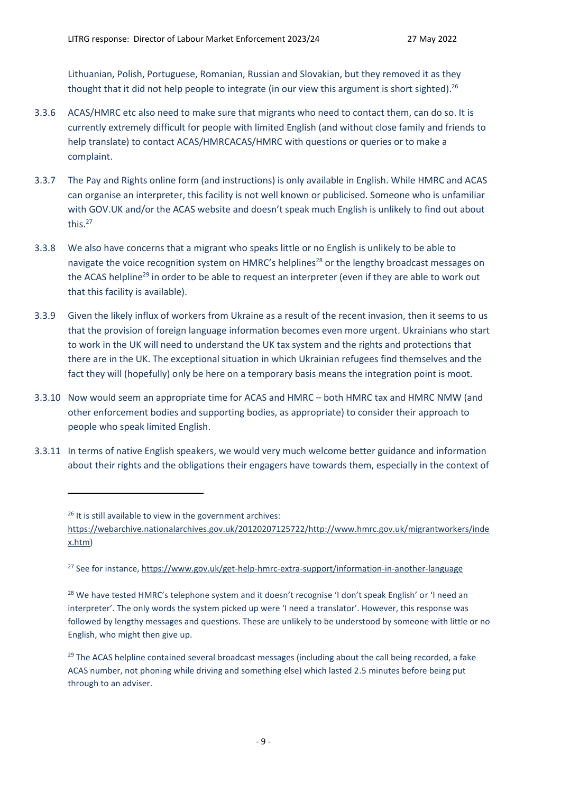Lithuanian, Polish, Portuguese, Romanian, Russian and Slovakian, but they removed it as they thought that it did not help people to integrate (in our view this argument is short sighted).<sup>26</sup>

- 3.3.6 ACAS/HMRC etc also need to make sure that migrants who need to contact them, can do so. It is currently extremely difficult for people with limited English (and without close family and friends to help translate) to contact ACAS/HMRCACAS/HMRC with questions or queries or to make a complaint.
- 3.3.7 The Pay and Rights online form (and instructions) is only available in English. While HMRC and ACAS can organise an interpreter, this facility is not well known or publicised. Someone who is unfamiliar with GOV.UK and/or the ACAS website and doesn't speak much English is unlikely to find out about this.<sup>27</sup>
- 3.3.8 We also have concerns that a migrant who speaks little or no English is unlikely to be able to navigate the voice recognition system on HMRC's helplines<sup>28</sup> or the lengthy broadcast messages on the ACAS helpline<sup>29</sup> in order to be able to request an interpreter (even if they are able to work out that this facility is available).
- 3.3.9 Given the likely influx of workers from Ukraine as a result of the recent invasion, then it seems to us that the provision of foreign language information becomes even more urgent. Ukrainians who start to work in the UK will need to understand the UK tax system and the rights and protections that there are in the UK. The exceptional situation in which Ukrainian refugees find themselves and the fact they will (hopefully) only be here on a temporary basis means the integration point is moot.
- 3.3.10 Now would seem an appropriate time for ACAS and HMRC both HMRC tax and HMRC NMW (and other enforcement bodies and supporting bodies, as appropriate) to consider their approach to people who speak limited English.
- 3.3.11 In terms of native English speakers, we would very much welcome better guidance and information about their rights and the obligations their engagers have towards them, especially in the context of

<sup>27</sup> See for instance, <https://www.gov.uk/get-help-hmrc-extra-support/information-in-another-language>

<sup>28</sup> We have tested HMRC's telephone system and it doesn't recognise 'I don't speak English' or 'I need an interpreter'. The only words the system picked up were 'I need a translator'. However, this response was followed by lengthy messages and questions. These are unlikely to be understood by someone with little or no English, who might then give up.

<sup>29</sup> The ACAS helpline contained several broadcast messages (including about the call being recorded, a fake ACAS number, not phoning while driving and something else) which lasted 2.5 minutes before being put through to an adviser.

 $26$  It is still available to view in the government archives: [https://webarchive.nationalarchives.gov.uk/20120207125722/http://www.hmrc.gov.uk/migrantworkers/inde](https://webarchive.nationalarchives.gov.uk/20120207125722/http:/www.hmrc.gov.uk/migrantworkers/index.htm) [x.htm\)](https://webarchive.nationalarchives.gov.uk/20120207125722/http:/www.hmrc.gov.uk/migrantworkers/index.htm)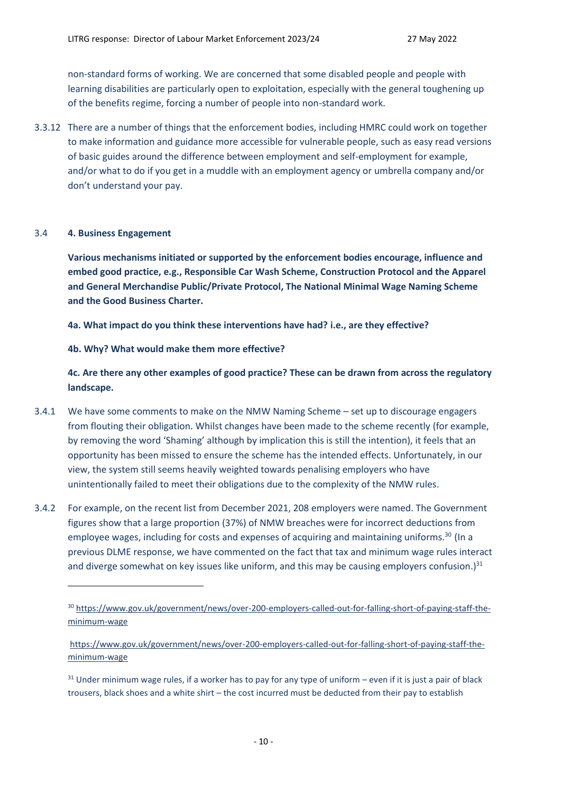non-standard forms of working. We are concerned that some disabled people and people with learning disabilities are particularly open to exploitation, especially with the general toughening up of the benefits regime, forcing a number of people into non-standard work.

3.3.12 There are a number of things that the enforcement bodies, including HMRC could work on together to make information and guidance more accessible for vulnerable people, such as easy read versions of basic guides around the difference between employment and self-employment for example, and/or what to do if you get in a muddle with an employment agency or umbrella company and/or don't understand your pay.

### 3.4 **4. Business Engagement**

**Various mechanisms initiated or supported by the enforcement bodies encourage, influence and embed good practice, e.g., Responsible Car Wash Scheme, Construction Protocol and the Apparel and General Merchandise Public/Private Protocol, The National Minimal Wage Naming Scheme and the Good Business Charter.**

**4a. What impact do you think these interventions have had? i.e., are they effective?**

### **4b. Why? What would make them more effective?**

**4c. Are there any other examples of good practice? These can be drawn from across the regulatory landscape.**

- 3.4.1 We have some comments to make on the NMW Naming Scheme set up to discourage engagers from flouting their obligation. Whilst changes have been made to the scheme recently (for example, by removing the word 'Shaming' although by implication this is still the intention), it feels that an opportunity has been missed to ensure the scheme has the intended effects. Unfortunately, in our view, the system still seems heavily weighted towards penalising employers who have unintentionally failed to meet their obligations due to the complexity of the NMW rules.
- 3.4.2 For example, on the recent list from December 2021, 208 employers were named. The Government figures show that a large proportion (37%) of NMW breaches were for incorrect deductions from employee wages, including for costs and expenses of acquiring and maintaining uniforms.<sup>30</sup> (In a previous DLME response, we have commented on the fact that tax and minimum wage rules interact and diverge somewhat on key issues like uniform, and this may be causing employers confusion.) $31$

<sup>&</sup>lt;sup>30</sup> [https://www.gov.uk/government/news/over-200-employers-called-out-for-falling-short-of-paying-staff-the](https://www.gov.uk/government/news/over-200-employers-called-out-for-falling-short-of-paying-staff-the-minimum-wage)[minimum-wage](https://www.gov.uk/government/news/over-200-employers-called-out-for-falling-short-of-paying-staff-the-minimum-wage)

[https://www.gov.uk/government/news/over-200-employers-called-out-for-falling-short-of-paying-staff-the](https://www.gov.uk/government/news/over-200-employers-called-out-for-falling-short-of-paying-staff-the-minimum-wage)[minimum-wage](https://www.gov.uk/government/news/over-200-employers-called-out-for-falling-short-of-paying-staff-the-minimum-wage)

 $31$  Under minimum wage rules, if a worker has to pay for any type of uniform – even if it is just a pair of black trousers, black shoes and a white shirt – the cost incurred must be deducted from their pay to establish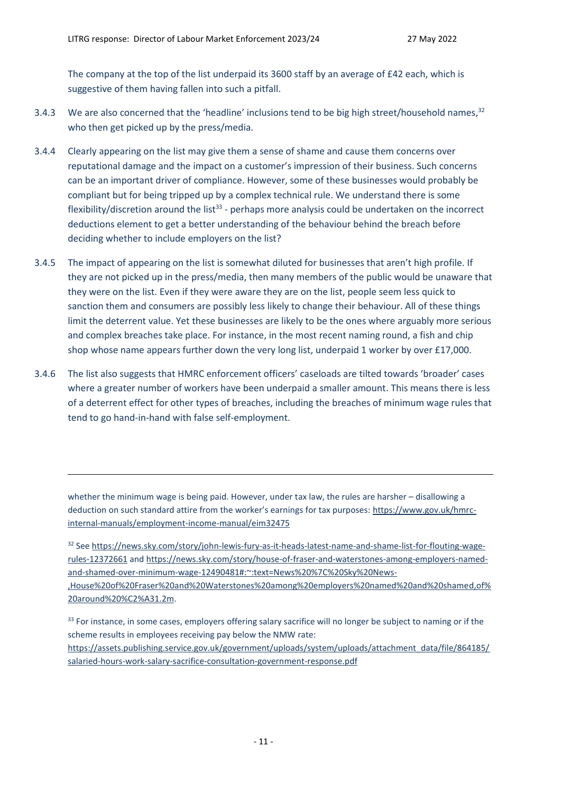The company at the top of the list underpaid its 3600 staff by an average of £42 each, which is suggestive of them having fallen into such a pitfall.

- 3.4.3 We are also concerned that the 'headline' inclusions tend to be big high street/household names,<sup>32</sup> who then get picked up by the press/media.
- 3.4.4 Clearly appearing on the list may give them a sense of shame and cause them concerns over reputational damage and the impact on a customer's impression of their business. Such concerns can be an important driver of compliance. However, some of these businesses would probably be compliant but for being tripped up by a complex technical rule. We understand there is some flexibility/discretion around the list<sup>33</sup> - perhaps more analysis could be undertaken on the incorrect deductions element to get a better understanding of the behaviour behind the breach before deciding whether to include employers on the list?
- 3.4.5 The impact of appearing on the list is somewhat diluted for businesses that aren't high profile. If they are not picked up in the press/media, then many members of the public would be unaware that they were on the list. Even if they were aware they are on the list, people seem less quick to sanction them and consumers are possibly less likely to change their behaviour. All of these things limit the deterrent value. Yet these businesses are likely to be the ones where arguably more serious and complex breaches take place. For instance, in the most recent naming round, a fish and chip shop whose name appears further down the very long list, underpaid 1 worker by over £17,000.
- 3.4.6 The list also suggests that HMRC enforcement officers' caseloads are tilted towards 'broader' cases where a greater number of workers have been underpaid a smaller amount. This means there is less of a deterrent effect for other types of breaches, including the breaches of minimum wage rules that tend to go hand-in-hand with false self-employment.

whether the minimum wage is being paid. However, under tax law, the rules are harsher – disallowing a deduction on such standard attire from the worker's earnings for tax purposes: [https://www.gov.uk/hmrc](https://www.gov.uk/hmrc-internal-manuals/employment-income-manual/eim32475)[internal-manuals/employment-income-manual/eim32475](https://www.gov.uk/hmrc-internal-manuals/employment-income-manual/eim32475)

<sup>32</sup> Se[e https://news.sky.com/story/john-lewis-fury-as-it-heads-latest-name-and-shame-list-for-flouting-wage](https://news.sky.com/story/john-lewis-fury-as-it-heads-latest-name-and-shame-list-for-flouting-wage-rules-12372661)[rules-12372661](https://news.sky.com/story/john-lewis-fury-as-it-heads-latest-name-and-shame-list-for-flouting-wage-rules-12372661) and [https://news.sky.com/story/house-of-fraser-and-waterstones-among-employers-named](https://news.sky.com/story/house-of-fraser-and-waterstones-among-employers-named-and-shamed-over-minimum-wage-12490481#:~:text=News%20%7C%20Sky%20News-,House%20of%20Fraser%20and%20Waterstones%20among%20employers%20named%20and%20shamed,of%20around%20%C2%A31.2m)[and-shamed-over-minimum-wage-12490481#:~:text=News%20%7C%20Sky%20News-](https://news.sky.com/story/house-of-fraser-and-waterstones-among-employers-named-and-shamed-over-minimum-wage-12490481#:~:text=News%20%7C%20Sky%20News-,House%20of%20Fraser%20and%20Waterstones%20among%20employers%20named%20and%20shamed,of%20around%20%C2%A31.2m) [,House%20of%20Fraser%20and%20Waterstones%20among%20employers%20named%20and%20shamed,of%](https://news.sky.com/story/house-of-fraser-and-waterstones-among-employers-named-and-shamed-over-minimum-wage-12490481#:~:text=News%20%7C%20Sky%20News-,House%20of%20Fraser%20and%20Waterstones%20among%20employers%20named%20and%20shamed,of%20around%20%C2%A31.2m) [20around%20%C2%A31.2m.](https://news.sky.com/story/house-of-fraser-and-waterstones-among-employers-named-and-shamed-over-minimum-wage-12490481#:~:text=News%20%7C%20Sky%20News-,House%20of%20Fraser%20and%20Waterstones%20among%20employers%20named%20and%20shamed,of%20around%20%C2%A31.2m)

<sup>33</sup> For instance, in some cases, employers offering salary sacrifice will no longer be subject to naming or if the scheme results in employees receiving pay below the NMW rate: [https://assets.publishing.service.gov.uk/government/uploads/system/uploads/attachment\\_data/file/864185/](https://assets.publishing.service.gov.uk/government/uploads/system/uploads/attachment_data/file/864185/salaried-hours-work-salary-sacrifice-consultation-government-response.pdf) [salaried-hours-work-salary-sacrifice-consultation-government-response.pdf](https://assets.publishing.service.gov.uk/government/uploads/system/uploads/attachment_data/file/864185/salaried-hours-work-salary-sacrifice-consultation-government-response.pdf)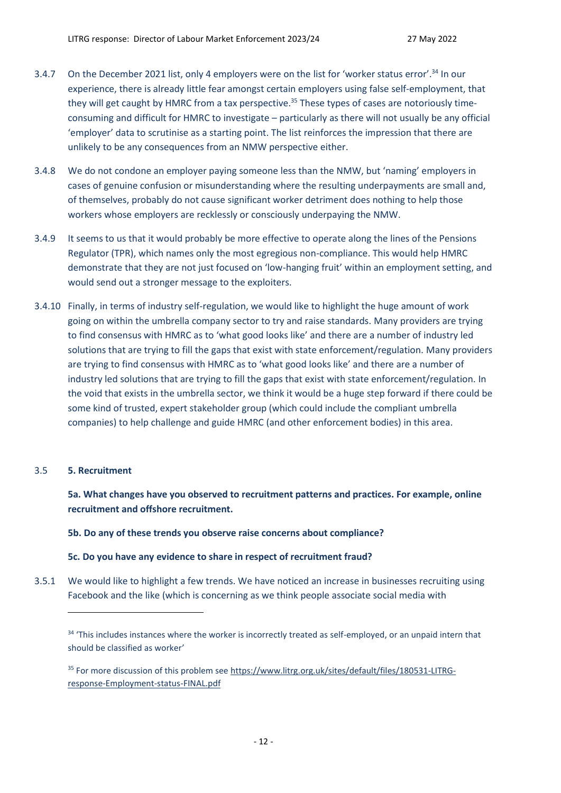- 3.4.7 On the December 2021 list, only 4 employers were on the list for 'worker status error'.<sup>34</sup> In our experience, there is already little fear amongst certain employers using false self-employment, that they will get caught by HMRC from a tax perspective.<sup>35</sup> These types of cases are notoriously timeconsuming and difficult for HMRC to investigate – particularly as there will not usually be any official 'employer' data to scrutinise as a starting point. The list reinforces the impression that there are unlikely to be any consequences from an NMW perspective either.
- 3.4.8 We do not condone an employer paying someone less than the NMW, but 'naming' employers in cases of genuine confusion or misunderstanding where the resulting underpayments are small and, of themselves, probably do not cause significant worker detriment does nothing to help those workers whose employers are recklessly or consciously underpaying the NMW.
- 3.4.9 It seems to us that it would probably be more effective to operate along the lines of the Pensions Regulator (TPR), which names only the most egregious non-compliance. This would help HMRC demonstrate that they are not just focused on 'low-hanging fruit' within an employment setting, and would send out a stronger message to the exploiters.
- 3.4.10 Finally, in terms of industry self-regulation, we would like to highlight the huge amount of work going on within the umbrella company sector to try and raise standards. Many providers are trying to find consensus with HMRC as to 'what good looks like' and there are a number of industry led solutions that are trying to fill the gaps that exist with state enforcement/regulation. Many providers are trying to find consensus with HMRC as to 'what good looks like' and there are a number of industry led solutions that are trying to fill the gaps that exist with state enforcement/regulation. In the void that exists in the umbrella sector, we think it would be a huge step forward if there could be some kind of trusted, expert stakeholder group (which could include the compliant umbrella companies) to help challenge and guide HMRC (and other enforcement bodies) in this area.

## 3.5 **5. Recruitment**

**5a. What changes have you observed to recruitment patterns and practices. For example, online recruitment and offshore recruitment.**

## **5b. Do any of these trends you observe raise concerns about compliance?**

## **5c. Do you have any evidence to share in respect of recruitment fraud?**

3.5.1 We would like to highlight a few trends. We have noticed an increase in businesses recruiting using Facebook and the like (which is concerning as we think people associate social media with

<sup>&</sup>lt;sup>34</sup> 'This includes instances where the worker is incorrectly treated as self-employed, or an unpaid intern that should be classified as worker'

<sup>35</sup> For more discussion of this problem see [https://www.litrg.org.uk/sites/default/files/180531-LITRG](https://www.litrg.org.uk/sites/default/files/180531-LITRG-response-Employment-status-FINAL.pdf)[response-Employment-status-FINAL.pdf](https://www.litrg.org.uk/sites/default/files/180531-LITRG-response-Employment-status-FINAL.pdf)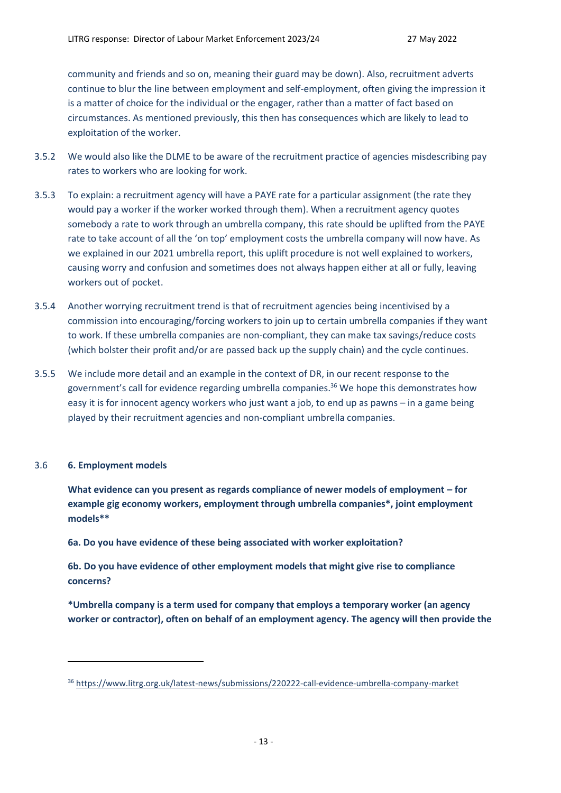community and friends and so on, meaning their guard may be down). Also, recruitment adverts continue to blur the line between employment and self-employment, often giving the impression it is a matter of choice for the individual or the engager, rather than a matter of fact based on circumstances. As mentioned previously, this then has consequences which are likely to lead to exploitation of the worker.

- 3.5.2 We would also like the DLME to be aware of the recruitment practice of agencies misdescribing pay rates to workers who are looking for work.
- 3.5.3 To explain: a recruitment agency will have a PAYE rate for a particular assignment (the rate they would pay a worker if the worker worked through them). When a recruitment agency quotes somebody a rate to work through an umbrella company, this rate should be uplifted from the PAYE rate to take account of all the 'on top' employment costs the umbrella company will now have. As we explained in our 2021 umbrella report, this uplift procedure is not well explained to workers, causing worry and confusion and sometimes does not always happen either at all or fully, leaving workers out of pocket.
- 3.5.4 Another worrying recruitment trend is that of recruitment agencies being incentivised by a commission into encouraging/forcing workers to join up to certain umbrella companies if they want to work. If these umbrella companies are non-compliant, they can make tax savings/reduce costs (which bolster their profit and/or are passed back up the supply chain) and the cycle continues.
- 3.5.5 We include more detail and an example in the context of DR, in our recent response to the government's call for evidence regarding umbrella companies. <sup>36</sup> We hope this demonstrates how easy it is for innocent agency workers who just want a job, to end up as pawns – in a game being played by their recruitment agencies and non-compliant umbrella companies.

### 3.6 **6. Employment models**

**What evidence can you present as regards compliance of newer models of employment – for example gig economy workers, employment through umbrella companies\*, joint employment models\*\***

**6a. Do you have evidence of these being associated with worker exploitation?**

**6b. Do you have evidence of other employment models that might give rise to compliance concerns?**

**\*Umbrella company is a term used for company that employs a temporary worker (an agency worker or contractor), often on behalf of an employment agency. The agency will then provide the** 

<sup>36</sup> <https://www.litrg.org.uk/latest-news/submissions/220222-call-evidence-umbrella-company-market>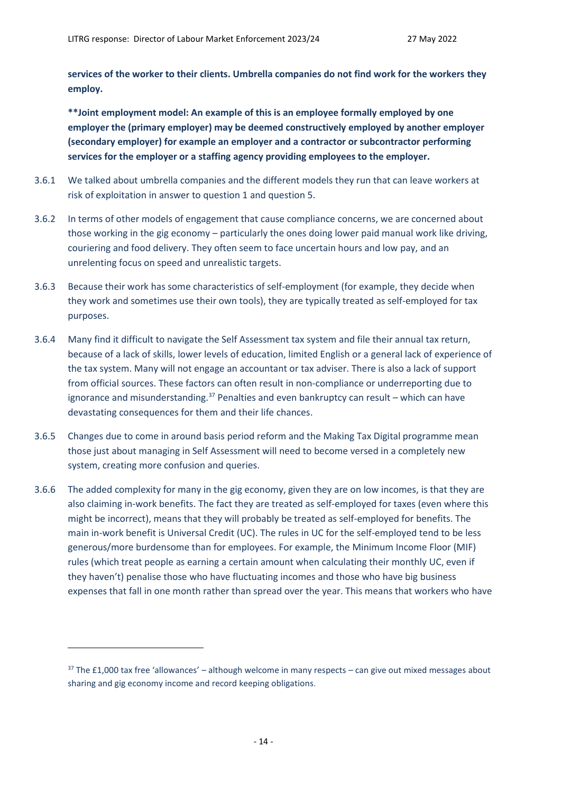**services of the worker to their clients. Umbrella companies do not find work for the workers they employ.**

**\*\*Joint employment model: An example of this is an employee formally employed by one employer the (primary employer) may be deemed constructively employed by another employer (secondary employer) for example an employer and a contractor or subcontractor performing services for the employer or a staffing agency providing employees to the employer.**

- 3.6.1 We talked about umbrella companies and the different models they run that can leave workers at risk of exploitation in answer to question 1 and question 5.
- 3.6.2 In terms of other models of engagement that cause compliance concerns, we are concerned about those working in the gig economy – particularly the ones doing lower paid manual work like driving, couriering and food delivery. They often seem to face uncertain hours and low pay, and an unrelenting focus on speed and unrealistic targets.
- 3.6.3 Because their work has some characteristics of self-employment (for example, they decide when they work and sometimes use their own tools), they are typically treated as self-employed for tax purposes.
- 3.6.4 Many find it difficult to navigate the Self Assessment tax system and file their annual tax return, because of a lack of skills, lower levels of education, limited English or a general lack of experience of the tax system. Many will not engage an accountant or tax adviser. There is also a lack of support from official sources. These factors can often result in non-compliance or underreporting due to ignorance and misunderstanding.<sup>37</sup> Penalties and even bankruptcy can result – which can have devastating consequences for them and their life chances.
- 3.6.5 Changes due to come in around basis period reform and the Making Tax Digital programme mean those just about managing in Self Assessment will need to become versed in a completely new system, creating more confusion and queries.
- 3.6.6 The added complexity for many in the gig economy, given they are on low incomes, is that they are also claiming in-work benefits. The fact they are treated as self-employed for taxes (even where this might be incorrect), means that they will probably be treated as self-employed for benefits. The main in-work benefit is Universal Credit (UC). The rules in UC for the self-employed tend to be less generous/more burdensome than for employees. For example, the Minimum Income Floor (MIF) rules (which treat people as earning a certain amount when calculating their monthly UC, even if they haven't) penalise those who have fluctuating incomes and those who have big business expenses that fall in one month rather than spread over the year. This means that workers who have

 $37$  The £1,000 tax free 'allowances' – although welcome in many respects – can give out mixed messages about sharing and gig economy income and record keeping obligations.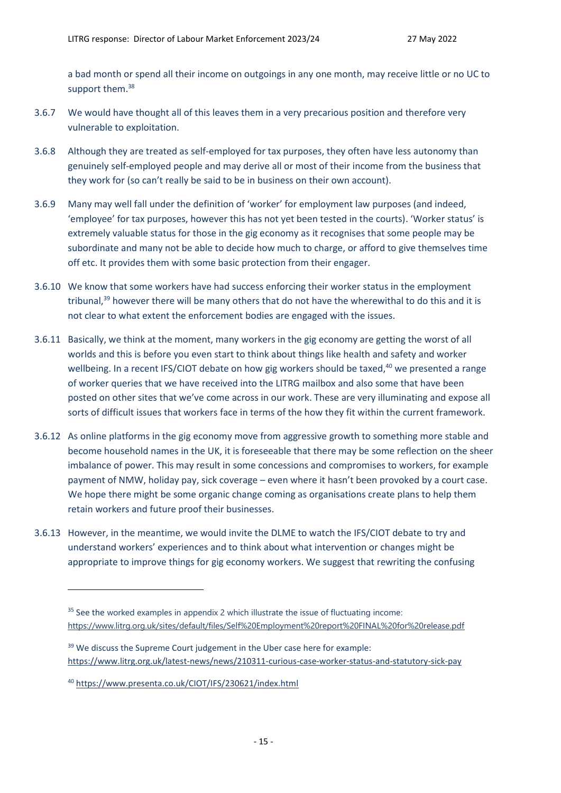a bad month or spend all their income on outgoings in any one month, may receive little or no UC to support them.<sup>38</sup>

- 3.6.7 We would have thought all of this leaves them in a very precarious position and therefore very vulnerable to exploitation.
- 3.6.8 Although they are treated as self-employed for tax purposes, they often have less autonomy than genuinely self-employed people and may derive all or most of their income from the business that they work for (so can't really be said to be in business on their own account).
- 3.6.9 Many may well fall under the definition of 'worker' for employment law purposes (and indeed, 'employee' for tax purposes, however this has not yet been tested in the courts). 'Worker status' is extremely valuable status for those in the gig economy as it recognises that some people may be subordinate and many not be able to decide how much to charge, or afford to give themselves time off etc. It provides them with some basic protection from their engager.
- 3.6.10 We know that some workers have had success enforcing their worker status in the employment tribunal,<sup>39</sup> however there will be many others that do not have the wherewithal to do this and it is not clear to what extent the enforcement bodies are engaged with the issues.
- 3.6.11 Basically, we think at the moment, many workers in the gig economy are getting the worst of all worlds and this is before you even start to think about things like health and safety and worker wellbeing. In a recent IFS/CIOT debate on how gig workers should be taxed,<sup>40</sup> we presented a range of worker queries that we have received into the LITRG mailbox and also some that have been posted on other sites that we've come across in our work. These are very illuminating and expose all sorts of difficult issues that workers face in terms of the how they fit within the current framework.
- 3.6.12 As online platforms in the gig economy move from aggressive growth to something more stable and become household names in the UK, it is foreseeable that there may be some reflection on the sheer imbalance of power. This may result in some concessions and compromises to workers, for example payment of NMW, holiday pay, sick coverage – even where it hasn't been provoked by a court case. We hope there might be some organic change coming as organisations create plans to help them retain workers and future proof their businesses.
- 3.6.13 However, in the meantime, we would invite the DLME to watch the IFS/CIOT debate to try and understand workers' experiences and to think about what intervention or changes might be appropriate to improve things for gig economy workers. We suggest that rewriting the confusing

<sup>39</sup> We discuss the Supreme Court judgement in the Uber case here for example: <https://www.litrg.org.uk/latest-news/news/210311-curious-case-worker-status-and-statutory-sick-pay>

<sup>&</sup>lt;sup>35</sup> See the worked examples in appendix 2 which illustrate the issue of fluctuating income: <https://www.litrg.org.uk/sites/default/files/Self%20Employment%20report%20FINAL%20for%20release.pdf>

<sup>40</sup> <https://www.presenta.co.uk/CIOT/IFS/230621/index.html>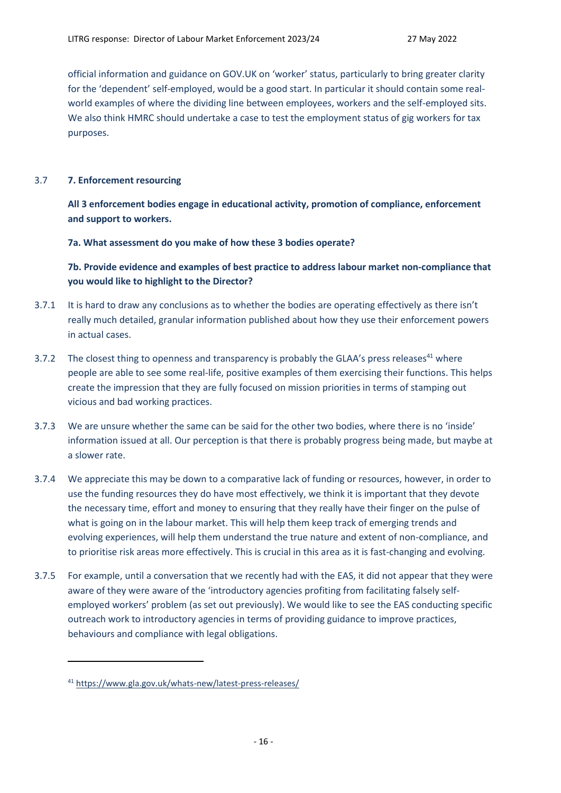official information and guidance on GOV.UK on 'worker' status, particularly to bring greater clarity for the 'dependent' self-employed, would be a good start. In particular it should contain some realworld examples of where the dividing line between employees, workers and the self-employed sits. We also think HMRC should undertake a case to test the employment status of gig workers for tax purposes.

# 3.7 **7. Enforcement resourcing**

**All 3 enforcement bodies engage in educational activity, promotion of compliance, enforcement and support to workers.**

**7a. What assessment do you make of how these 3 bodies operate?**

# **7b. Provide evidence and examples of best practice to address labour market non-compliance that you would like to highlight to the Director?**

- 3.7.1 It is hard to draw any conclusions as to whether the bodies are operating effectively as there isn't really much detailed, granular information published about how they use their enforcement powers in actual cases.
- 3.7.2 The closest thing to openness and transparency is probably the GLAA's press releases<sup>41</sup> where people are able to see some real-life, positive examples of them exercising their functions. This helps create the impression that they are fully focused on mission priorities in terms of stamping out vicious and bad working practices.
- 3.7.3 We are unsure whether the same can be said for the other two bodies, where there is no 'inside' information issued at all. Our perception is that there is probably progress being made, but maybe at a slower rate.
- 3.7.4 We appreciate this may be down to a comparative lack of funding or resources, however, in order to use the funding resources they do have most effectively, we think it is important that they devote the necessary time, effort and money to ensuring that they really have their finger on the pulse of what is going on in the labour market. This will help them keep track of emerging trends and evolving experiences, will help them understand the true nature and extent of non-compliance, and to prioritise risk areas more effectively. This is crucial in this area as it is fast-changing and evolving.
- 3.7.5 For example, until a conversation that we recently had with the EAS, it did not appear that they were aware of they were aware of the 'introductory agencies profiting from facilitating falsely selfemployed workers' problem (as set out previously). We would like to see the EAS conducting specific outreach work to introductory agencies in terms of providing guidance to improve practices, behaviours and compliance with legal obligations.

<sup>41</sup> <https://www.gla.gov.uk/whats-new/latest-press-releases/>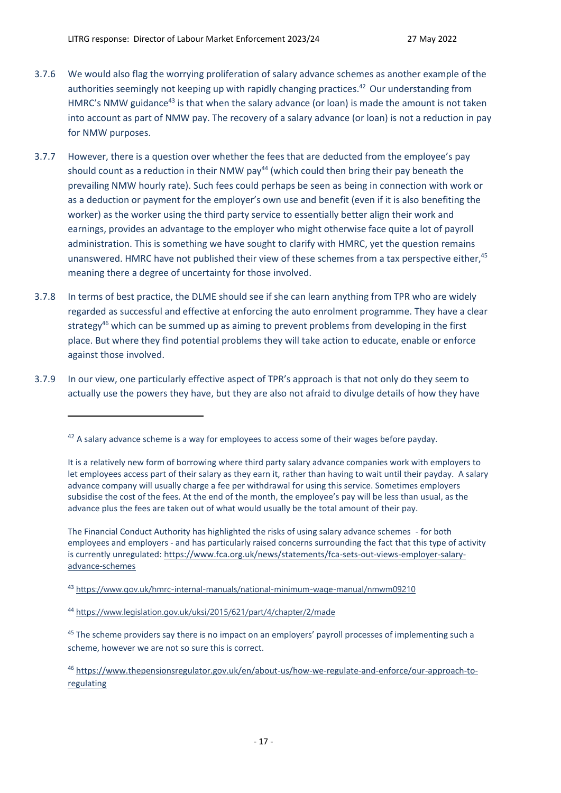- 3.7.6 We would also flag the worrying proliferation of salary advance schemes as another example of the authorities seemingly not keeping up with rapidly changing practices.<sup>42</sup> Our understanding from HMRC's NMW guidance<sup>43</sup> is that when the salary advance (or loan) is made the amount is not taken into account as part of NMW pay. The recovery of a salary advance (or loan) is not a reduction in pay for NMW purposes.
- 3.7.7 However, there is a question over whether the fees that are deducted from the employee's pay should count as a reduction in their NMW pay<sup>44</sup> (which could then bring their pay beneath the prevailing NMW hourly rate). Such fees could perhaps be seen as being in connection with work or as a deduction or payment for the employer's own use and benefit (even if it is also benefiting the worker) as the worker using the third party service to essentially better align their work and earnings, provides an advantage to the employer who might otherwise face quite a lot of payroll administration. This is something we have sought to clarify with HMRC, yet the question remains unanswered. HMRC have not published their view of these schemes from a tax perspective either, <sup>45</sup> meaning there a degree of uncertainty for those involved.
- 3.7.8 In terms of best practice, the DLME should see if she can learn anything from TPR who are widely regarded as successful and effective at enforcing the auto enrolment programme. They have a clear strategy<sup>46</sup> which can be summed up as aiming to prevent problems from developing in the first place. But where they find potential problems they will take action to educate, enable or enforce against those involved.
- 3.7.9 In our view, one particularly effective aspect of TPR's approach is that not only do they seem to actually use the powers they have, but they are also not afraid to divulge details of how they have

 $42$  A salary advance scheme is a way for employees to access some of their wages before payday.

It is a relatively new form of borrowing where third party salary advance companies work with employers to let employees access part of their salary as they earn it, rather than having to wait until their payday. A salary advance company will usually charge a fee per withdrawal for using this service. Sometimes employers subsidise the cost of the fees. At the end of the month, the employee's pay will be less than usual, as the advance plus the fees are taken out of what would usually be the total amount of their pay.

The Financial Conduct Authority has highlighted the risks of using salary advance schemes - for both employees and employers - and has particularly raised concerns surrounding the fact that this type of activity is currently unregulated: [https://www.fca.org.uk/news/statements/fca-sets-out-views-employer-salary](https://www.fca.org.uk/news/statements/fca-sets-out-views-employer-salary-advance-schemes)[advance-schemes](https://www.fca.org.uk/news/statements/fca-sets-out-views-employer-salary-advance-schemes)

<sup>43</sup> <https://www.gov.uk/hmrc-internal-manuals/national-minimum-wage-manual/nmwm09210>

<sup>44</sup> <https://www.legislation.gov.uk/uksi/2015/621/part/4/chapter/2/made>

<sup>&</sup>lt;sup>45</sup> The scheme providers say there is no impact on an employers' payroll processes of implementing such a scheme, however we are not so sure this is correct.

<sup>46</sup> [https://www.thepensionsregulator.gov.uk/en/about-us/how-we-regulate-and-enforce/our-approach-to](https://www.thepensionsregulator.gov.uk/en/about-us/how-we-regulate-and-enforce/our-approach-to-regulating)[regulating](https://www.thepensionsregulator.gov.uk/en/about-us/how-we-regulate-and-enforce/our-approach-to-regulating)